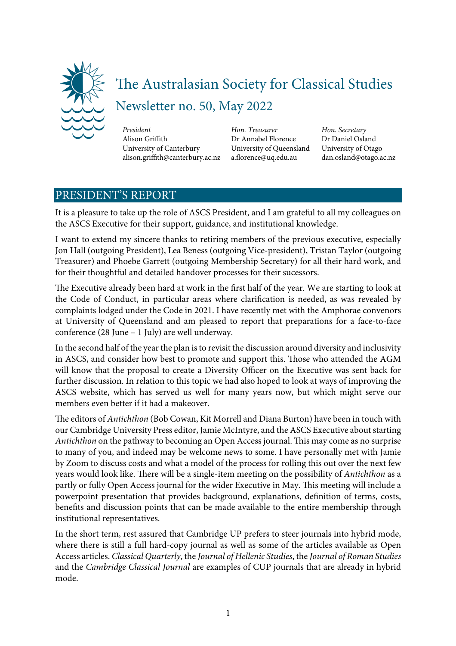

# The Australasian Society for Classical Studies Newsletter no. 50, May 2022

*President* Alison Griffith University of Canterbury alison.griffith@canterbury.ac.nz *Hon. Treasurer* Dr Annabel Florence University of Queensland a.forence@uq.edu.au

*Hon. Secretary* Dr Daniel Osland University of Otago dan.osland@otago.ac.nz

# PRESIDENT'S REPORT

It is a pleasure to take up the role of ASCS President, and I am grateful to all my colleagues on the ASCS Executive for their support, guidance, and institutional knowledge.

I want to extend my sincere thanks to retiring members of the previous executive, especially Jon Hall (outgoing President), Lea Beness (outgoing Vice-president), Tristan Taylor (outgoing Treasurer) and Phoebe Garrett (outgoing Membership Secretary) for all their hard work, and for their thoughtful and detailed handover processes for their sucessors.

The Executive already been hard at work in the first half of the year. We are starting to look at the Code of Conduct, in particular areas where clarifcation is needed, as was revealed by complaints lodged under the Code in 2021. I have recently met with the Amphorae convenors at University of Queensland and am pleased to report that preparations for a face-to-face conference (28 June – 1 July) are well underway.

In the second half of the year the plan is to revisit the discussion around diversity and inclusivity in ASCS, and consider how best to promote and support this. Those who attended the AGM will know that the proposal to create a Diversity Officer on the Executive was sent back for further discussion. In relation to this topic we had also hoped to look at ways of improving the ASCS website, which has served us well for many years now, but which might serve our members even better if it had a makeover.

The editors of *Antichthon* (Bob Cowan, Kit Morrell and Diana Burton) have been in touch with our Cambridge University Press editor, Jamie McIntyre, and the ASCS Executive about starting *Antichthon* on the pathway to becoming an Open Access journal. This may come as no surprise to many of you, and indeed may be welcome news to some. I have personally met with Jamie by Zoom to discuss costs and what a model of the process for rolling this out over the next few years would look like. There will be a single-item meeting on the possibility of *Antichthon* as a partly or fully Open Access journal for the wider Executive in May. This meeting will include a powerpoint presentation that provides background, explanations, defnition of terms, costs, benefts and discussion points that can be made available to the entire membership through institutional representatives.

In the short term, rest assured that Cambridge UP prefers to steer journals into hybrid mode, where there is still a full hard-copy journal as well as some of the articles available as Open Access articles. *Classical Quarterly*, the *Journal of Hellenic Studies*, the *Journal of Roman Studies* and the *Cambridge Classical Journal* are examples of CUP journals that are already in hybrid mode.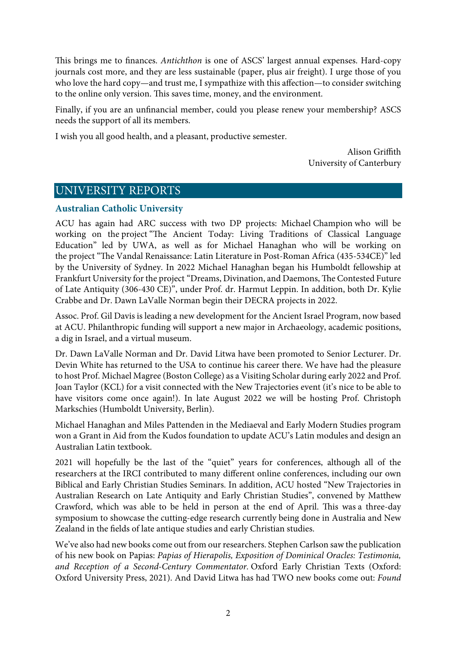This brings me to finances. Antichthon is one of ASCS' largest annual expenses. Hard-copy journals cost more, and they are less sustainable (paper, plus air freight). I urge those of you who love the hard copy—and trust me, I sympathize with this affection—to consider switching to the online only version. This saves time, money, and the environment.

Finally, if you are an unfnancial member, could you please renew your membership? ASCS needs the support of all its members.

I wish you all good health, and a pleasant, productive semester.

Alison Griffith University of Canterbury

# UNIVERSITY REPORTS

# **Australian Catholic University**

ACU has again had ARC success with two DP projects: Michael Champion who will be working on the project "The Ancient Today: Living Traditions of Classical Language Education" led by UWA, as well as for Michael Hanaghan who will be working on the project "The Vandal Renaissance: Latin Literature in Post-Roman Africa (435-534CE)" led by the University of Sydney. In 2022 Michael Hanaghan began his Humboldt fellowship at Frankfurt University for the project "Dreams, Divination, and Daemons, The Contested Future of Late Antiquity (306-430 CE)", under Prof. dr. Harmut Leppin. In addition, both Dr. Kylie Crabbe and Dr. Dawn LaValle Norman begin their DECRA projects in 2022.

Assoc. Prof. Gil Davis is leading a new development for the Ancient Israel Program, now based at ACU. Philanthropic funding will support a new major in Archaeology, academic positions, a dig in Israel, and a virtual museum.

Dr. Dawn LaValle Norman and Dr. David Litwa have been promoted to Senior Lecturer. Dr. Devin White has returned to the USA to continue his career there. We have had the pleasure to host Prof. Michael Magree (Boston College) as a Visiting Scholar during early 2022 and Prof. Joan Taylor (KCL) for a visit connected with the New Trajectories event (it's nice to be able to have visitors come once again!). In late August 2022 we will be hosting Prof. Christoph Markschies (Humboldt University, Berlin).

Michael Hanaghan and Miles Pattenden in the Mediaeval and Early Modern Studies program won a Grant in Aid from the Kudos foundation to update ACU's Latin modules and design an Australian Latin textbook.

2021 will hopefully be the last of the "quiet" years for conferences, although all of the researchers at the IRCI contributed to many different online conferences, including our own Biblical and Early Christian Studies Seminars. In addition, ACU hosted "New Trajectories in Australian Research on Late Antiquity and Early Christian Studies", convened by Matthew Crawford, which was able to be held in person at the end of April. This was a three-day symposium to showcase the cutting-edge research currently being done in Australia and New Zealand in the felds of late antique studies and early Christian studies.

We've also had new books come out from our researchers. Stephen Carlson saw the publication of his new book on Papias: *Papias of Hierapolis, Exposition of Dominical Oracles: Testimonia, and Reception of a Second-Century Commentator.* Oxford Early Christian Texts (Oxford: Oxford University Press, 2021). And David Litwa has had TWO new books come out: *Found*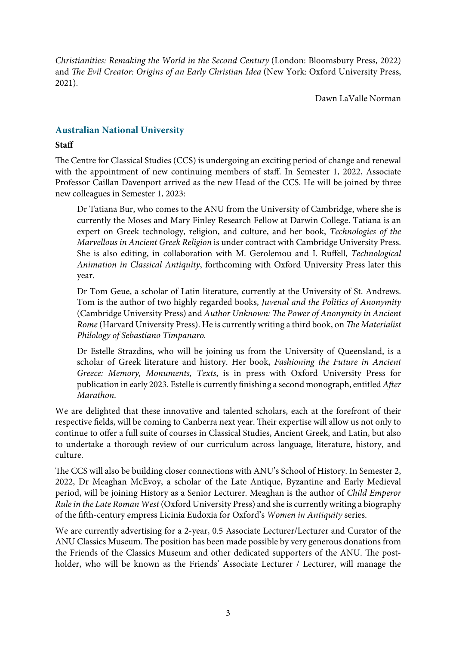*Christianities: Remaking the World in the Second Century* (London: Bloomsbury Press, 2022) and T*e Evil Creator: Origins of an Early Christian Idea* (New York: Oxford University Press, 2021).

Dawn LaValle Norman

# **Australian National University**

## **Staff**

The Centre for Classical Studies (CCS) is undergoing an exciting period of change and renewal with the appointment of new continuing members of staff. In Semester 1, 2022, Associate Professor Caillan Davenport arrived as the new Head of the CCS. He will be joined by three new colleagues in Semester 1, 2023:

Dr Tatiana Bur, who comes to the ANU from the University of Cambridge, where she is currently the Moses and Mary Finley Research Fellow at Darwin College. Tatiana is an expert on Greek technology, religion, and culture, and her book, *Technologies of the Marvellous in Ancient Greek Religion* is under contract with Cambridge University Press. She is also editing, in collaboration with M. Gerolemou and I. Ruffell, *Technological Animation in Classical Antiquity*, forthcoming with Oxford University Press later this year.

Dr Tom Geue, a scholar of Latin literature, currently at the University of St. Andrews. Tom is the author of two highly regarded books, *Juvenal and the Politics of Anonymity* (Cambridge University Press) and *Author Unknown:* T*e Power of Anonymity in Ancient Rome* (Harvard University Press). He is currently writing a third book, on T*e Materialist Philology of Sebastiano Timpanaro.* 

Dr Estelle Strazdins, who will be joining us from the University of Queensland, is a scholar of Greek literature and history. Her book, *Fashioning the Future in Ancient Greece: Memory, Monuments, Texts*, is in press with Oxford University Press for publication in early 2023. Estelle is currently fnishing a second monograph, entitled *A*f*er Marathon*.

We are delighted that these innovative and talented scholars, each at the forefront of their respective fields, will be coming to Canberra next year. Their expertise will allow us not only to continue to offer a full suite of courses in Classical Studies, Ancient Greek, and Latin, but also to undertake a thorough review of our curriculum across language, literature, history, and culture.

The CCS will also be building closer connections with ANU's School of History. In Semester 2, 2022, Dr Meaghan McEvoy, a scholar of the Late Antique, Byzantine and Early Medieval period, will be joining History as a Senior Lecturer. Meaghan is the author of *Child Emperor Rule in the Late Roman West* (Oxford University Press) and she is currently writing a biography of the ffh-century empress Licinia Eudoxia for Oxford's *Women in Antiquity* series.

We are currently advertising for a 2-year, 0.5 Associate Lecturer/Lecturer and Curator of the ANU Classics Museum. The position has been made possible by very generous donations from the Friends of the Classics Museum and other dedicated supporters of the ANU. The postholder, who will be known as the Friends' Associate Lecturer / Lecturer, will manage the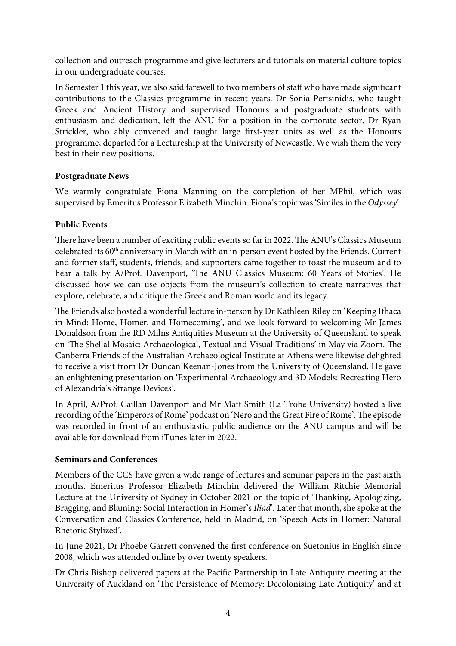collection and outreach programme and give lecturers and tutorials on material culture topics in our undergraduate courses.

In Semester 1 this year, we also said farewell to two members of staff who have made signifcant contributions to the Classics programme in recent years. Dr Sonia Pertsinidis, who taught Greek and Ancient History and supervised Honours and postgraduate students with enthusiasm and dedication, left the ANU for a position in the corporate sector. Dr Ryan Strickler, who ably convened and taught large frst-year units as well as the Honours programme, departed for a Lectureship at the University of Newcastle. We wish them the very best in their new positions.

# **Postgraduate News**

We warmly congratulate Fiona Manning on the completion of her MPhil, which was supervised by Emeritus Professor Elizabeth Minchin. Fiona's topic was 'Similes in the *Odyssey*'.

# **Public Events**

There have been a number of exciting public events so far in 2022. The ANU's Classics Museum celebrated its 60<sup>th</sup> anniversary in March with an in-person event hosted by the Friends. Current and former staff, students, friends, and supporters came together to toast the museum and to hear a talk by A/Prof. Davenport, 'The ANU Classics Museum: 60 Years of Stories'. He discussed how we can use objects from the museum's collection to create narratives that explore, celebrate, and critique the Greek and Roman world and its legacy.

The Friends also hosted a wonderful lecture in-person by Dr Kathleen Riley on 'Keeping Ithaca in Mind: Home, Homer, and Homecoming', and we look forward to welcoming Mr James Donaldson from the RD Milns Antiquities Museum at the University of Queensland to speak on 'The Shellal Mosaic: Archaeological, Textual and Visual Traditions' in May via Zoom. The Canberra Friends of the Australian Archaeological Institute at Athens were likewise delighted to receive a visit from Dr Duncan Keenan-Jones from the University of Queensland. He gave an enlightening presentation on 'Experimental Archaeology and 3D Models: Recreating Hero of Alexandria's Strange Devices'.

In April, A/Prof. Caillan Davenport and Mr Matt Smith (La Trobe University) hosted a live recording of the 'Emperors of Rome' podcast on 'Nero and the Great Fire of Rome'. The episode was recorded in front of an enthusiastic public audience on the ANU campus and will be available for download from iTunes later in 2022.

# **Seminars and Conferences**

Members of the CCS have given a wide range of lectures and seminar papers in the past sixth months. Emeritus Professor Elizabeth Minchin delivered the William Ritchie Memorial Lecture at the University of Sydney in October 2021 on the topic of 'Tanking, Apologizing, Bragging, and Blaming: Social Interaction in Homer's *Iliad*'. Later that month, she spoke at the Conversation and Classics Conference, held in Madrid, on 'Speech Acts in Homer: Natural Rhetoric Stylized'.

In June 2021, Dr Phoebe Garrett convened the frst conference on Suetonius in English since 2008, which was attended online by over twenty speakers.

Dr Chris Bishop delivered papers at the Pacifc Partnership in Late Antiquity meeting at the University of Auckland on 'The Persistence of Memory: Decolonising Late Antiquity' and at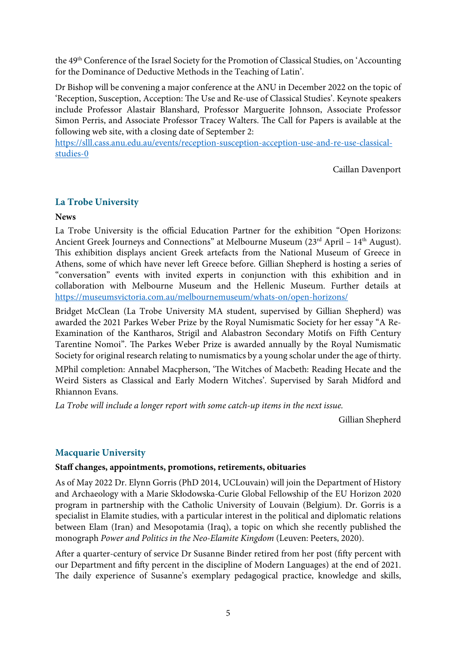the 49th Conference of the Israel Society for the Promotion of Classical Studies, on 'Accounting for the Dominance of Deductive Methods in the Teaching of Latin'.

Dr Bishop will be convening a major conference at the ANU in December 2022 on the topic of 'Reception, Susception, Acception: The Use and Re-use of Classical Studies'. Keynote speakers include Professor Alastair Blanshard, Professor Marguerite Johnson, Associate Professor Simon Perris, and Associate Professor Tracey Walters. The Call for Papers is available at the following web site, with a closing date of September 2:

https://slll.cass.anu.edu.au/events/reception-susception-acception-use-and-re-use-classicalstudies-0

Caillan Davenport

# **La Trobe University**

## **News**

La Trobe University is the official Education Partner for the exhibition "Open Horizons: Ancient Greek Journeys and Connections" at Melbourne Museum (23<sup>rd</sup> April – 14<sup>th</sup> August). This exhibition displays ancient Greek artefacts from the National Museum of Greece in Athens, some of which have never left Greece before. Gillian Shepherd is hosting a series of "conversation" events with invited experts in conjunction with this exhibition and in collaboration with Melbourne Museum and the Hellenic Museum. Further details at https://museumsvictoria.com.au/melbournemuseum/whats-on/open-horizons/

Bridget McClean (La Trobe University MA student, supervised by Gillian Shepherd) was awarded the 2021 Parkes Weber Prize by the Royal Numismatic Society for her essay "A Re-Examination of the Kantharos, Strigil and Alabastron Secondary Motifs on Fifh Century Tarentine Nomoi". The Parkes Weber Prize is awarded annually by the Royal Numismatic Society for original research relating to numismatics by a young scholar under the age of thirty.

MPhil completion: Annabel Macpherson, 'The Witches of Macbeth: Reading Hecate and the Weird Sisters as Classical and Early Modern Witches'. Supervised by Sarah Midford and Rhiannon Evans.

*La Trobe will include a longer report with some catch-up items in the next issue.*

Gillian Shepherd

# **Macquarie University**

# **Staff changes, appointments, promotions, retirements, obituaries**

As of May 2022 Dr. Elynn Gorris (PhD 2014, UCLouvain) will join the Department of History and Archaeology with a Marie Skłodowska-Curie Global Fellowship of the EU Horizon 2020 program in partnership with the Catholic University of Louvain (Belgium). Dr. Gorris is a specialist in Elamite studies, with a particular interest in the political and diplomatic relations between Elam (Iran) and Mesopotamia (Iraq), a topic on which she recently published the monograph *Power and Politics in the Neo-Elamite Kingdom* (Leuven: Peeters, 2020).

After a quarter-century of service Dr Susanne Binder retired from her post (fifty percent with our Department and ffy percent in the discipline of Modern Languages) at the end of 2021. The daily experience of Susanne's exemplary pedagogical practice, knowledge and skills,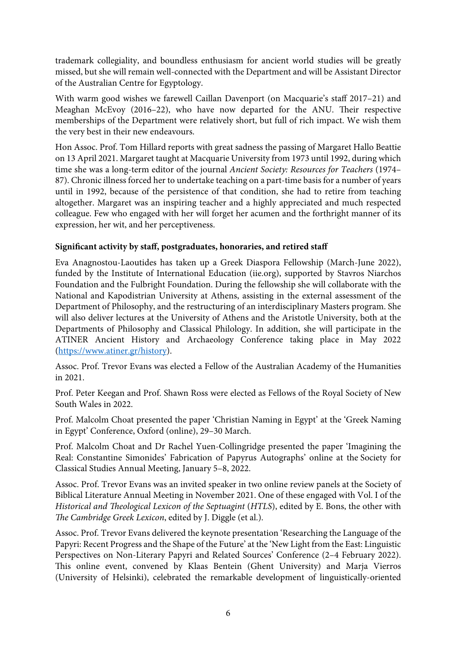trademark collegiality, and boundless enthusiasm for ancient world studies will be greatly missed, but she will remain well-connected with the Department and will be Assistant Director of the Australian Centre for Egyptology.

With warm good wishes we farewell Caillan Davenport (on Macquarie's staff 2017–21) and Meaghan McEvoy (2016–22), who have now departed for the ANU. Their respective memberships of the Department were relatively short, but full of rich impact. We wish them the very best in their new endeavours.

Hon Assoc. Prof. Tom Hillard reports with great sadness the passing of Margaret Hallo Beattie on 13 April 2021. Margaret taught at Macquarie University from 1973 until 1992, during which time she was a long-term editor of the journal *Ancient Society: Resources for Teachers* (1974– 87). Chronic illness forced her to undertake teaching on a part-time basis for a number of years until in 1992, because of the persistence of that condition, she had to retire from teaching altogether. Margaret was an inspiring teacher and a highly appreciated and much respected colleague. Few who engaged with her will forget her acumen and the forthright manner of its expression, her wit, and her perceptiveness.

# **Signifcant activity by staff, postgraduates, honoraries, and retired staff**

Eva Anagnostou-Laoutides has taken up a Greek Diaspora Fellowship (March-June 2022), funded by the Institute of International Education (iie.org), supported by Stavros Niarchos Foundation and the Fulbright Foundation. During the fellowship she will collaborate with the National and Kapodistrian University at Athens, assisting in the external assessment of the Department of Philosophy, and the restructuring of an interdisciplinary Masters program. She will also deliver lectures at the University of Athens and the Aristotle University, both at the Departments of Philosophy and Classical Philology. In addition, she will participate in the ATINER Ancient History and Archaeology Conference taking place in May 2022 (https://www.atiner.gr/history).

Assoc. Prof. Trevor Evans was elected a Fellow of the Australian Academy of the Humanities in 2021.

Prof. Peter Keegan and Prof. Shawn Ross were elected as Fellows of the Royal Society of New South Wales in 2022.

Prof. Malcolm Choat presented the paper 'Christian Naming in Egypt' at the 'Greek Naming in Egypt' Conference, Oxford (online), 29–30 March.

Prof. Malcolm Choat and Dr Rachel Yuen-Collingridge presented the paper 'Imagining the Real: Constantine Simonides' Fabrication of Papyrus Autographs' online at the Society for Classical Studies Annual Meeting, January 5–8, 2022.

Assoc. Prof. Trevor Evans was an invited speaker in two online review panels at the Society of Biblical Literature Annual Meeting in November 2021. One of these engaged with Vol. I of the *Historical and* T*eological Lexicon of the Septuagint* (*HTLS*), edited by E. Bons, the other with T*e Cambridge Greek Lexicon*, edited by J. Diggle (et al.).

Assoc. Prof. Trevor Evans delivered the keynote presentation 'Researching the Language of the Papyri: Recent Progress and the Shape of the Future' at the 'New Light from the East: Linguistic Perspectives on Non-Literary Papyri and Related Sources' Conference (2–4 February 2022). This online event, convened by Klaas Bentein (Ghent University) and Marja Vierros (University of Helsinki), celebrated the remarkable development of linguistically-oriented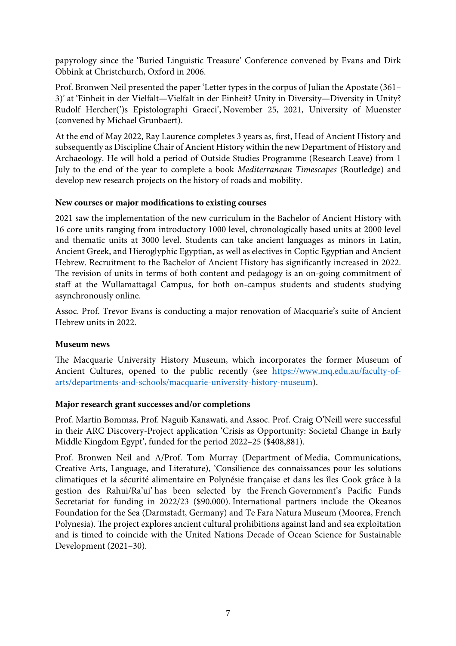papyrology since the 'Buried Linguistic Treasure' Conference convened by Evans and Dirk Obbink at Christchurch, Oxford in 2006.

Prof. Bronwen Neil presented the paper 'Letter types in the corpus of Julian the Apostate (361– 3)' at 'Einheit in der Vielfalt—Vielfalt in der Einheit? Unity in Diversity—Diversity in Unity? Rudolf Hercher(')s Epistolographi Graeci', November 25, 2021, University of Muenster (convened by Michael Grunbaert).

At the end of May 2022, Ray Laurence completes 3 years as, frst, Head of Ancient History and subsequently as Discipline Chair of Ancient History within the new Department of History and Archaeology. He will hold a period of Outside Studies Programme (Research Leave) from 1 July to the end of the year to complete a book *Mediterranean Timescapes* (Routledge) and develop new research projects on the history of roads and mobility.

## **New courses or major modifcations to existing courses**

2021 saw the implementation of the new curriculum in the Bachelor of Ancient History with 16 core units ranging from introductory 1000 level, chronologically based units at 2000 level and thematic units at 3000 level. Students can take ancient languages as minors in Latin, Ancient Greek, and Hieroglyphic Egyptian, as well as electives in Coptic Egyptian and Ancient Hebrew. Recruitment to the Bachelor of Ancient History has signifcantly increased in 2022. The revision of units in terms of both content and pedagogy is an on-going commitment of staff at the Wullamattagal Campus, for both on-campus students and students studying asynchronously online.

Assoc. Prof. Trevor Evans is conducting a major renovation of Macquarie's suite of Ancient Hebrew units in 2022.

# **Museum news**

The Macquarie University History Museum, which incorporates the former Museum of Ancient Cultures, opened to the public recently (see https://www.mq.edu.au/faculty-ofarts/departments-and-schools/macquarie-university-history-museum).

# **Major research grant successes and/or completions**

Prof. Martin Bommas, Prof. Naguib Kanawati, and Assoc. Prof. Craig O'Neill were successful in their ARC Discovery-Project application 'Crisis as Opportunity: Societal Change in Early Middle Kingdom Egypt', funded for the period 2022–25 (\$408,881).

Prof. Bronwen Neil and A/Prof. Tom Murray (Department of Media, Communications, Creative Arts, Language, and Literature), 'Consilience des connaissances pour les solutions climatiques et la sécurité alimentaire en Polynésie française et dans les îles Cook grâce à la gestion des Rahui/Ra'ui' has been selected by the French Government's Pacifc Funds Secretariat for funding in 2022/23 (\$90,000). International partners include the Okeanos Foundation for the Sea (Darmstadt, Germany) and Te Fara Natura Museum (Moorea, French Polynesia). The project explores ancient cultural prohibitions against land and sea exploitation and is timed to coincide with the United Nations Decade of Ocean Science for Sustainable Development (2021–30).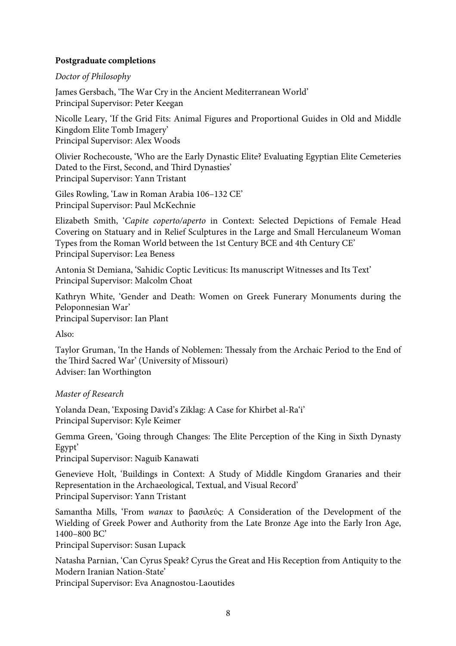# **Postgraduate completions**

#### *Doctor of Philosophy*

James Gersbach, 'The War Cry in the Ancient Mediterranean World' Principal Supervisor: Peter Keegan

Nicolle Leary, 'If the Grid Fits: Animal Figures and Proportional Guides in Old and Middle Kingdom Elite Tomb Imagery' Principal Supervisor: Alex Woods

Olivier Rochecouste, 'Who are the Early Dynastic Elite? Evaluating Egyptian Elite Cemeteries Dated to the First, Second, and Third Dynasties' Principal Supervisor: Yann Tristant

Giles Rowling, 'Law in Roman Arabia 106–132 CE' Principal Supervisor: Paul McKechnie

Elizabeth Smith, '*Capite coperto/aperto* in Context: Selected Depictions of Female Head Covering on Statuary and in Relief Sculptures in the Large and Small Herculaneum Woman Types from the Roman World between the 1st Century BCE and 4th Century CE' Principal Supervisor: Lea Beness

Antonia St Demiana, 'Sahidic Coptic Leviticus: Its manuscript Witnesses and Its Text' Principal Supervisor: Malcolm Choat

Kathryn White, 'Gender and Death: Women on Greek Funerary Monuments during the Peloponnesian War' Principal Supervisor: Ian Plant

Also:

Taylor Gruman, 'In the Hands of Noblemen: Thessaly from the Archaic Period to the End of the Third Sacred War' (University of Missouri) Adviser: Ian Worthington

*Master of Research*

Yolanda Dean, 'Exposing David's Ziklag: A Case for Khirbet al-Ra'i' Principal Supervisor: Kyle Keimer

Gemma Green, 'Going through Changes: The Elite Perception of the King in Sixth Dynasty Egypt'

Principal Supervisor: Naguib Kanawati

Genevieve Holt, 'Buildings in Context: A Study of Middle Kingdom Granaries and their Representation in the Archaeological, Textual, and Visual Record' Principal Supervisor: Yann Tristant

Samantha Mills, 'From *wanax* to βασιλεύς: A Consideration of the Development of the Wielding of Greek Power and Authority from the Late Bronze Age into the Early Iron Age, 1400–800 BC'

Principal Supervisor: Susan Lupack

Natasha Parnian, 'Can Cyrus Speak? Cyrus the Great and His Reception from Antiquity to the Modern Iranian Nation-State'

Principal Supervisor: Eva Anagnostou-Laoutides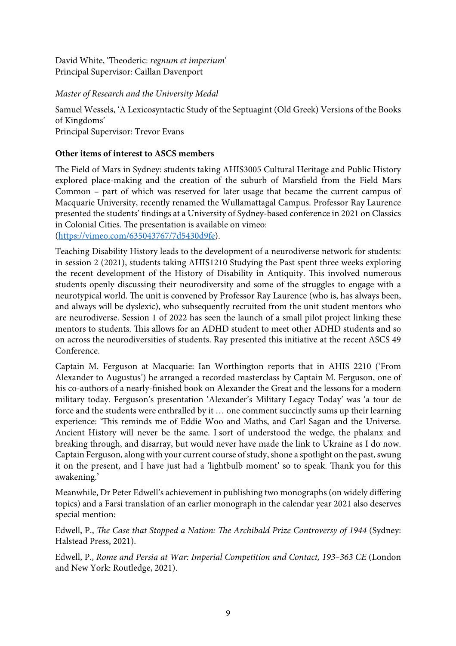David White, 'Theoderic: *regnum et imperium'* Principal Supervisor: Caillan Davenport

# *Master of Research and the University Medal*

Samuel Wessels, 'A Lexicosyntactic Study of the Septuagint (Old Greek) Versions of the Books of Kingdoms' Principal Supervisor: Trevor Evans

# **Other items of interest to ASCS members**

The Field of Mars in Sydney: students taking AHIS3005 Cultural Heritage and Public History explored place-making and the creation of the suburb of Marsfeld from the Field Mars Common – part of which was reserved for later usage that became the current campus of Macquarie University, recently renamed the Wullamattagal Campus. Professor Ray Laurence presented the students' fndings at a University of Sydney-based conference in 2021 on Classics in Colonial Cities. The presentation is available on vimeo:

(https://vimeo.com/635043767/7d5430d9fe).

Teaching Disability History leads to the development of a neurodiverse network for students: in session 2 (2021), students taking AHIS1210 Studying the Past spent three weeks exploring the recent development of the History of Disability in Antiquity. This involved numerous students openly discussing their neurodiversity and some of the struggles to engage with a neurotypical world. The unit is convened by Professor Ray Laurence (who is, has always been, and always will be dyslexic), who subsequently recruited from the unit student mentors who are neurodiverse. Session 1 of 2022 has seen the launch of a small pilot project linking these mentors to students. Tis allows for an ADHD student to meet other ADHD students and so on across the neurodiversities of students. Ray presented this initiative at the recent ASCS 49 Conference.

Captain M. Ferguson at Macquarie: Ian Worthington reports that in AHIS 2210 ('From Alexander to Augustus') he arranged a recorded masterclass by Captain M. Ferguson, one of his co-authors of a nearly-fnished book on Alexander the Great and the lessons for a modern military today. Ferguson's presentation 'Alexander's Military Legacy Today' was 'a tour de force and the students were enthralled by it … one comment succinctly sums up their learning experience: 'This reminds me of Eddie Woo and Maths, and Carl Sagan and the Universe. Ancient History will never be the same. I sort of understood the wedge, the phalanx and breaking through, and disarray, but would never have made the link to Ukraine as I do now. Captain Ferguson, along with your current course of study, shone a spotlight on the past, swung it on the present, and I have just had a 'lightbulb moment' so to speak. Thank you for this awakening.'

Meanwhile, Dr Peter Edwell's achievement in publishing two monographs (on widely differing topics) and a Farsi translation of an earlier monograph in the calendar year 2021 also deserves special mention:

Edwell, P., T*e Case that Stopped a Nation:* T*e Archibald Prize Controversy of 1944* (Sydney: Halstead Press, 2021).

Edwell, P., *Rome and Persia at War: Imperial Competition and Contact, 193–363 CE* (London and New York: Routledge, 2021).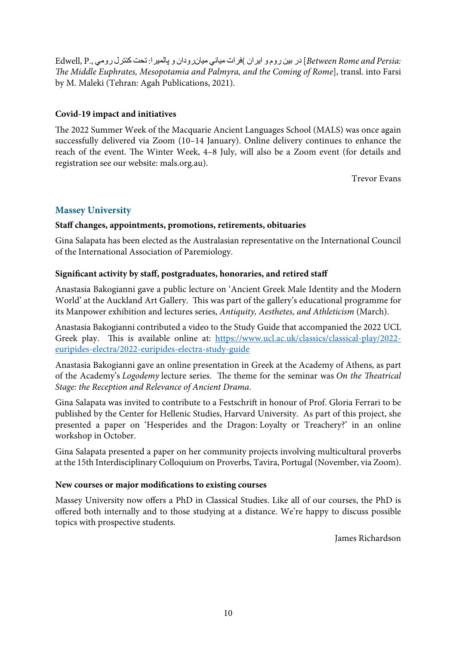*:Persia and Rome Between* [رد نیب مور و ناریا ) تارف ينایم نایم نادور و اریملاپ : تحت لرتنك يمور .,P ,Edwell T*e Middle Euphrates, Mesopotamia and Palmyra, and the Coming of Rome*], transl. into Farsi by M. Maleki (Tehran: Agah Publications, 2021).

# **Covid-19 impact and initiatives**

The 2022 Summer Week of the Macquarie Ancient Languages School (MALS) was once again successfully delivered via Zoom (10–14 January). Online delivery continues to enhance the reach of the event. The Winter Week, 4–8 July, will also be a Zoom event (for details and registration see our website: mals.org.au).

Trevor Evans

# **Massey University**

# **Staff changes, appointments, promotions, retirements, obituaries**

Gina Salapata has been elected as the Australasian representative on the International Council of the International Association of Paremiology.

# **Signifcant activity by staff, postgraduates, honoraries, and retired staff**

Anastasia Bakogianni gave a public lecture on 'Ancient Greek Male Identity and the Modern World' at the Auckland Art Gallery. This was part of the gallery's educational programme for its Manpower exhibition and lectures series, *Antiquity, Aesthetes, and Athleticism* (March).

Anastasia Bakogianni contributed a video to the Study Guide that accompanied the 2022 UCL Greek play. This is available online at: https://www.ucl.ac.uk/classics/classical-play/2022euripides-electra/2022-euripides-electra-study-guide

Anastasia Bakogianni gave an online presentation in Greek at the Academy of Athens, as part of the Academy's *Logodemy* lecture series. The theme for the seminar was *On the Theatrical Stage: the Reception and Relevance of Ancient Drama*.

Gina Salapata was invited to contribute to a Festschrif in honour of Prof. Gloria Ferrari to be published by the Center for Hellenic Studies, Harvard University. As part of this project, she presented a paper on 'Hesperides and the Dragon: Loyalty or Treachery?' in an online workshop in October.

Gina Salapata presented a paper on her community projects involving multicultural proverbs at the 15th Interdisciplinary Colloquium on Proverbs, Tavira, Portugal (November, via Zoom).

# **New courses or major modifcations to existing courses**

Massey University now offers a PhD in Classical Studies. Like all of our courses, the PhD is offered both internally and to those studying at a distance. We're happy to discuss possible topics with prospective students.

James Richardson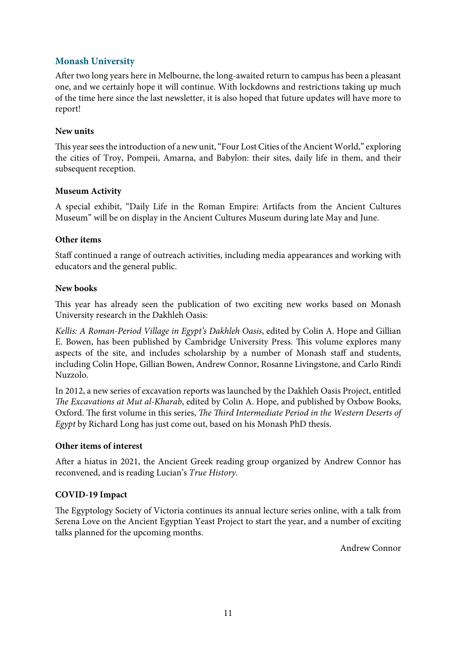# **Monash University**

Afer two long years here in Melbourne, the long-awaited return to campus has been a pleasant one, and we certainly hope it will continue. With lockdowns and restrictions taking up much of the time here since the last newsletter, it is also hoped that future updates will have more to report!

## **New units**

This year sees the introduction of a new unit, "Four Lost Cities of the Ancient World," exploring the cities of Troy, Pompeii, Amarna, and Babylon: their sites, daily life in them, and their subsequent reception.

## **Museum Activity**

A special exhibit, "Daily Life in the Roman Empire: Artifacts from the Ancient Cultures Museum" will be on display in the Ancient Cultures Museum during late May and June.

## **Other items**

Staff continued a range of outreach activities, including media appearances and working with educators and the general public.

## **New books**

This year has already seen the publication of two exciting new works based on Monash University research in the Dakhleh Oasis:

*Kellis: A Roman-Period Village in Egypt's Dakhleh Oasis*, edited by Colin A. Hope and Gillian E. Bowen, has been published by Cambridge University Press. This volume explores many aspects of the site, and includes scholarship by a number of Monash staff and students, including Colin Hope, Gillian Bowen, Andrew Connor, Rosanne Livingstone, and Carlo Rindi Nuzzolo.

In 2012, a new series of excavation reports was launched by the Dakhleh Oasis Project, entitled T*e Excavations at Mut al-Kharab*, edited by Colin A. Hope, and published by Oxbow Books, Oxford. The first volume in this series, *The Third Intermediate Period in the Western Deserts of Egypt* by Richard Long has just come out, based on his Monash PhD thesis.

#### **Other items of interest**

Afer a hiatus in 2021, the Ancient Greek reading group organized by Andrew Connor has reconvened, and is reading Lucian's *True History*.

# **COVID-19 Impact**

The Egyptology Society of Victoria continues its annual lecture series online, with a talk from Serena Love on the Ancient Egyptian Yeast Project to start the year, and a number of exciting talks planned for the upcoming months.

Andrew Connor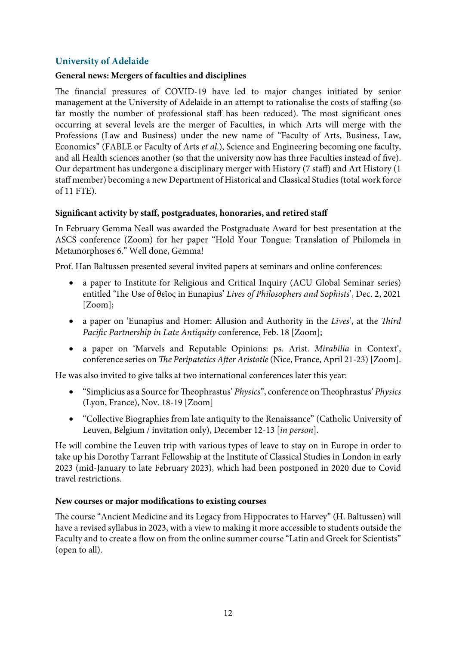# **University of Adelaide**

# **General news: Mergers of faculties and disciplines**

The financial pressures of COVID-19 have led to major changes initiated by senior management at the University of Adelaide in an attempt to rationalise the costs of staffing (so far mostly the number of professional staff has been reduced). The most significant ones occurring at several levels are the merger of Faculties, in which Arts will merge with the Professions (Law and Business) under the new name of "Faculty of Arts, Business, Law, Economics" (FABLE or Faculty of Arts *et al*.), Science and Engineering becoming one faculty, and all Health sciences another (so that the university now has three Faculties instead of fve). Our department has undergone a disciplinary merger with History (7 staff) and Art History (1 staff member) becoming a new Department of Historical and Classical Studies (total work force of 11 FTE).

# **Signifcant activity by staff, postgraduates, honoraries, and retired staff**

In February Gemma Neall was awarded the Postgraduate Award for best presentation at the ASCS conference (Zoom) for her paper "Hold Your Tongue: Translation of Philomela in Metamorphoses 6." Well done, Gemma!

Prof. Han Baltussen presented several invited papers at seminars and online conferences:

- a paper to Institute for Religious and Critical Inquiry (ACU Global Seminar series) entitled 'The Use of θεῖος in Eunapius' *Lives of Philosophers and Sophists*', Dec. 2, 2021 [Zoom];
- a paper on 'Eunapius and Homer: Allusion and Authority in the *Lives*', at the T*ird Paci*f*c Partnership in Late Antiquity* conference, Feb. 18 [Zoom];
- a paper on 'Marvels and Reputable Opinions: ps. Arist. *Mirabilia* in Context', conference series on T*e Peripatetics A*f*er Aristotle* (Nice, France, April 21-23) [Zoom].

He was also invited to give talks at two international conferences later this year:

- "Simplicius as a Source for Teophrastus' *Physics*", conference on Teophrastus' *Physics* (Lyon, France), Nov. 18-19 [Zoom]
- "Collective Biographies from late antiquity to the Renaissance" (Catholic University of Leuven, Belgium / invitation only), December 12-13 [*in person*].

He will combine the Leuven trip with various types of leave to stay on in Europe in order to take up his Dorothy Tarrant Fellowship at the Institute of Classical Studies in London in early 2023 (mid-January to late February 2023), which had been postponed in 2020 due to Covid travel restrictions.

#### **New courses or major modifcations to existing courses**

The course "Ancient Medicine and its Legacy from Hippocrates to Harvey" (H. Baltussen) will have a revised syllabus in 2023, with a view to making it more accessible to students outside the Faculty and to create a flow on from the online summer course "Latin and Greek for Scientists" (open to all).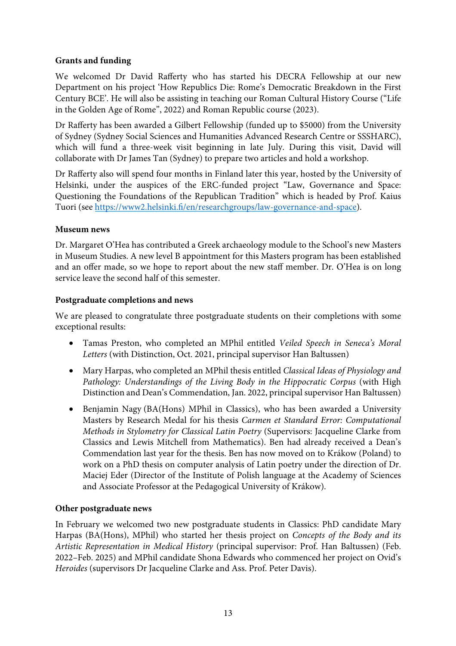# **Grants and funding**

We welcomed Dr David Rafferty who has started his DECRA Fellowship at our new Department on his project 'How Republics Die: Rome's Democratic Breakdown in the First Century BCE'. He will also be assisting in teaching our Roman Cultural History Course ("Life in the Golden Age of Rome", 2022) and Roman Republic course (2023).

Dr Rafferty has been awarded a Gilbert Fellowship (funded up to \$5000) from the University of Sydney (Sydney Social Sciences and Humanities Advanced Research Centre or SSSHARC), which will fund a three-week visit beginning in late July. During this visit, David will collaborate with Dr James Tan (Sydney) to prepare two articles and hold a workshop.

Dr Rafferty also will spend four months in Finland later this year, hosted by the University of Helsinki, under the auspices of the ERC-funded project "Law, Governance and Space: Questioning the Foundations of the Republican Tradition" which is headed by Prof. Kaius Tuori (see https://www2.helsinki.f/en/researchgroups/law-governance-and-space).

# **Museum news**

Dr. Margaret O'Hea has contributed a Greek archaeology module to the School's new Masters in Museum Studies. A new level B appointment for this Masters program has been established and an offer made, so we hope to report about the new staff member. Dr. O'Hea is on long service leave the second half of this semester.

## **Postgraduate completions and news**

We are pleased to congratulate three postgraduate students on their completions with some exceptional results:

- Tamas Preston, who completed an MPhil entitled *Veiled Speech in Seneca's Moral Letters* (with Distinction, Oct. 2021, principal supervisor Han Baltussen)
- Mary Harpas, who completed an MPhil thesis entitled *Classical Ideas of Physiology and Pathology: Understandings of the Living Body in the Hippocratic Corpus* (with High Distinction and Dean's Commendation, Jan. 2022, principal supervisor Han Baltussen)
- Benjamin Nagy (BA(Hons) MPhil in Classics), who has been awarded a University Masters by Research Medal for his thesis *Carmen et Standard Error: Computational Methods in Stylometry for Classical Latin Poetry* (Supervisors: Jacqueline Clarke from Classics and Lewis Mitchell from Mathematics). Ben had already received a Dean's Commendation last year for the thesis. Ben has now moved on to Krákow (Poland) to work on a PhD thesis on computer analysis of Latin poetry under the direction of Dr. Maciej Eder (Director of the Institute of Polish language at the Academy of Sciences and Associate Professor at the Pedagogical University of Krákow).

# **Other postgraduate news**

In February we welcomed two new postgraduate students in Classics: PhD candidate Mary Harpas (BA(Hons), MPhil) who started her thesis project on *Concepts of the Body and its Artistic Representation in Medical History* (principal supervisor: Prof. Han Baltussen) (Feb. 2022–Feb. 2025) and MPhil candidate Shona Edwards who commenced her project on Ovid's *Heroides* (supervisors Dr Jacqueline Clarke and Ass. Prof. Peter Davis).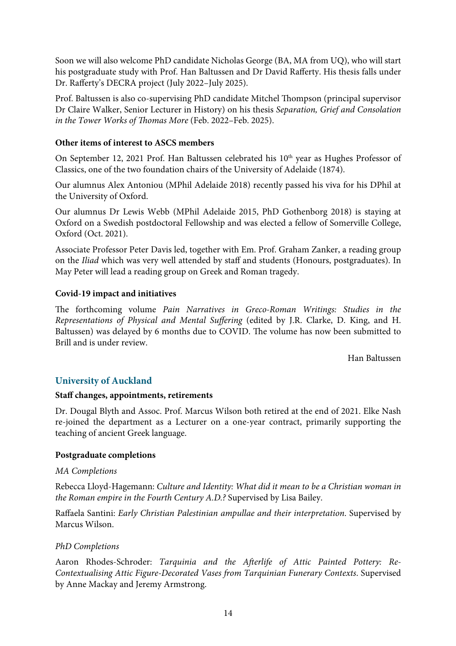Soon we will also welcome PhD candidate Nicholas George (BA, MA from UQ), who will start his postgraduate study with Prof. Han Baltussen and Dr David Rafferty. His thesis falls under Dr. Rafferty's DECRA project (July 2022–July 2025).

Prof. Baltussen is also co-supervising PhD candidate Mitchel Thompson (principal supervisor Dr Claire Walker, Senior Lecturer in History) on his thesis *Separation, Grief and Consolation in the Tower Works of Thomas More* (Feb. 2022–Feb. 2025).

# **Other items of interest to ASCS members**

On September 12, 2021 Prof. Han Baltussen celebrated his 10<sup>th</sup> year as Hughes Professor of Classics, one of the two foundation chairs of the University of Adelaide (1874).

Our alumnus Alex Antoniou (MPhil Adelaide 2018) recently passed his viva for his DPhil at the University of Oxford.

Our alumnus Dr Lewis Webb (MPhil Adelaide 2015, PhD Gothenborg 2018) is staying at Oxford on a Swedish postdoctoral Fellowship and was elected a fellow of Somerville College, Oxford (Oct. 2021).

Associate Professor Peter Davis led, together with Em. Prof. Graham Zanker, a reading group on the *Iliad* which was very well attended by staff and students (Honours, postgraduates). In May Peter will lead a reading group on Greek and Roman tragedy.

## **Covid-19 impact and initiatives**

The forthcoming volume *Pain Narratives in Greco-Roman Writings: Studies in the Representations of Physical and Mental Su*ff*ering* (edited by J.R. Clarke, D. King, and H. Baltussen) was delayed by 6 months due to COVID. The volume has now been submitted to Brill and is under review.

Han Baltussen

# **University of Auckland**

#### **Staff changes, appointments, retirements**

Dr. Dougal Blyth and Assoc. Prof. Marcus Wilson both retired at the end of 2021. Elke Nash re-joined the department as a Lecturer on a one-year contract, primarily supporting the teaching of ancient Greek language.

#### **Postgraduate completions**

#### *MA Completions*

Rebecca Lloyd-Hagemann: *Culture and Identity: What did it mean to be a Christian woman in the Roman empire in the Fourth Century A.D.?* Supervised by Lisa Bailey.

Raffaela Santini: *Early Christian Palestinian ampullae and their interpretation*. Supervised by Marcus Wilson.

# *PhD Completions*

Aaron Rhodes-Schroder: *Tarquinia and the A*f*erlife of Attic Painted Pottery: Re-Contextualising Attic Figure-Decorated Vases from Tarquinian Funerary Contexts*. Supervised by Anne Mackay and Jeremy Armstrong.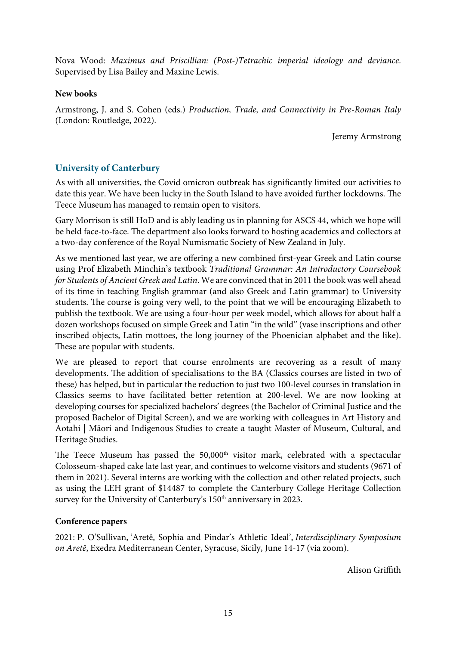Nova Wood: *Maximus and Priscillian: (Post-)Tetrachic imperial ideology and deviance*. Supervised by Lisa Bailey and Maxine Lewis.

## **New books**

Armstrong, J. and S. Cohen (eds.) *Production, Trade, and Connectivity in Pre-Roman Italy* (London: Routledge, 2022).

Jeremy Armstrong

# **University of Canterbury**

As with all universities, the Covid omicron outbreak has signifcantly limited our activities to date this year. We have been lucky in the South Island to have avoided further lockdowns. The Teece Museum has managed to remain open to visitors.

Gary Morrison is still HoD and is ably leading us in planning for ASCS 44, which we hope will be held face-to-face. The department also looks forward to hosting academics and collectors at a two-day conference of the Royal Numismatic Society of New Zealand in July.

As we mentioned last year, we are offering a new combined frst-year Greek and Latin course using Prof Elizabeth Minchin's textbook *Traditional Grammar: An Introductory Coursebook for Students of Ancient Greek and Latin*. We are convinced that in 2011 the book was well ahead of its time in teaching English grammar (and also Greek and Latin grammar) to University students. The course is going very well, to the point that we will be encouraging Elizabeth to publish the textbook. We are using a four-hour per week model, which allows for about half a dozen workshops focused on simple Greek and Latin "in the wild" (vase inscriptions and other inscribed objects, Latin mottoes, the long journey of the Phoenician alphabet and the like). These are popular with students.

We are pleased to report that course enrolments are recovering as a result of many developments. The addition of specialisations to the BA (Classics courses are listed in two of these) has helped, but in particular the reduction to just two 100-level courses in translation in Classics seems to have facilitated better retention at 200-level. We are now looking at developing courses for specialized bachelors' degrees (the Bachelor of Criminal Justice and the proposed Bachelor of Digital Screen), and we are working with colleagues in Art History and Aotahi | Māori and Indigenous Studies to create a taught Master of Museum, Cultural, and Heritage Studies.

The Teece Museum has passed the 50,000<sup>th</sup> visitor mark, celebrated with a spectacular Colosseum-shaped cake late last year, and continues to welcome visitors and students (9671 of them in 2021). Several interns are working with the collection and other related projects, such as using the LEH grant of \$14487 to complete the Canterbury College Heritage Collection survey for the University of Canterbury's 150<sup>th</sup> anniversary in 2023.

# **Conference papers**

2021: P. O'Sullivan, 'Aretê, Sophia and Pindar's Athletic Ideal', *Interdisciplinary Symposium on Aretê*, Exedra Mediterranean Center, Syracuse, Sicily, June 14-17 (via zoom).

Alison Griffith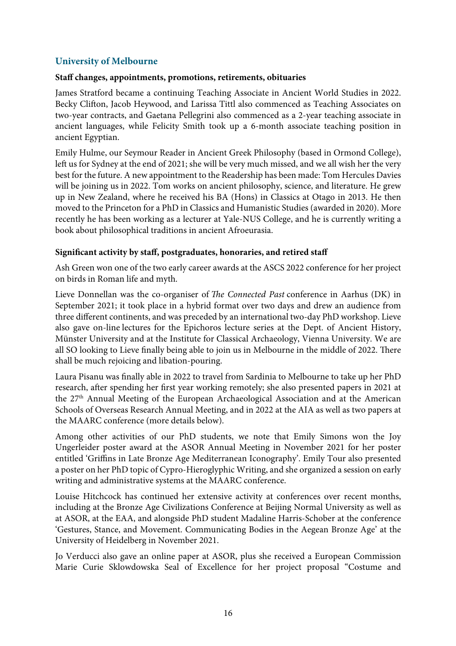# **University of Melbourne**

## **Staff changes, appointments, promotions, retirements, obituaries**

James Stratford became a continuing Teaching Associate in Ancient World Studies in 2022. Becky Clifon, Jacob Heywood, and Larissa Tittl also commenced as Teaching Associates on two-year contracts, and Gaetana Pellegrini also commenced as a 2-year teaching associate in ancient languages, while Felicity Smith took up a 6-month associate teaching position in ancient Egyptian.

Emily Hulme, our Seymour Reader in Ancient Greek Philosophy (based in Ormond College), left us for Sydney at the end of 2021; she will be very much missed, and we all wish her the very best for the future. A new appointment to the Readership has been made: Tom Hercules Davies will be joining us in 2022. Tom works on ancient philosophy, science, and literature. He grew up in New Zealand, where he received his BA (Hons) in Classics at Otago in 2013. He then moved to the Princeton for a PhD in Classics and Humanistic Studies (awarded in 2020). More recently he has been working as a lecturer at Yale-NUS College, and he is currently writing a book about philosophical traditions in ancient Afroeurasia.

## **Signifcant activity by staff, postgraduates, honoraries, and retired staff**

Ash Green won one of the two early career awards at the ASCS 2022 conference for her project on birds in Roman life and myth.

Lieve Donnellan was the co-organiser of T*e Connected Past* conference in Aarhus (DK) in September 2021; it took place in a hybrid format over two days and drew an audience from three different continents, and was preceded by an international two-day PhD workshop. Lieve also gave on-line lectures for the Epichoros lecture series at the Dept. of Ancient History, Münster University and at the Institute for Classical Archaeology, Vienna University. We are all SO looking to Lieve finally being able to join us in Melbourne in the middle of 2022. There shall be much rejoicing and libation-pouring.

Laura Pisanu was fnally able in 2022 to travel from Sardinia to Melbourne to take up her PhD research, after spending her first year working remotely; she also presented papers in 2021 at the 27<sup>th</sup> Annual Meeting of the European Archaeological Association and at the American Schools of Overseas Research Annual Meeting, and in 2022 at the AIA as well as two papers at the MAARC conference (more details below).

Among other activities of our PhD students, we note that Emily Simons won the Joy Ungerleider poster award at the ASOR Annual Meeting in November 2021 for her poster entitled 'Griffins in Late Bronze Age Mediterranean Iconography'. Emily Tour also presented a poster on her PhD topic of Cypro-Hieroglyphic Writing, and she organized a session on early writing and administrative systems at the MAARC conference.

Louise Hitchcock has continued her extensive activity at conferences over recent months, including at the Bronze Age Civilizations Conference at Beijing Normal University as well as at ASOR, at the EAA, and alongside PhD student Madaline Harris-Schober at the conference 'Gestures, Stance, and Movement. Communicating Bodies in the Aegean Bronze Age' at the University of Heidelberg in November 2021.

Jo Verducci also gave an online paper at ASOR, plus she received a European Commission Marie Curie Sklowdowska Seal of Excellence for her project proposal "Costume and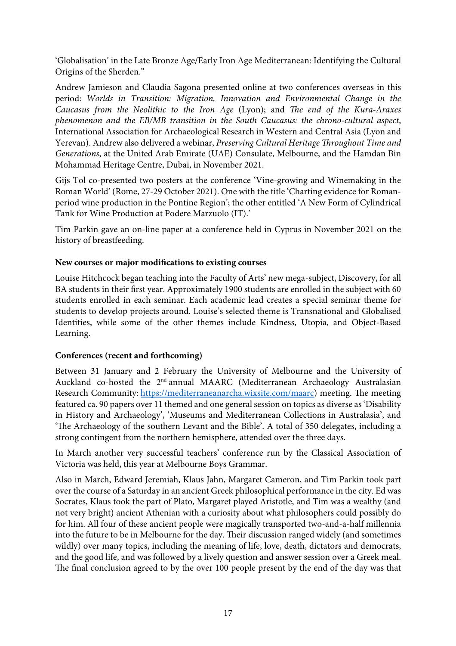'Globalisation' in the Late Bronze Age/Early Iron Age Mediterranean: Identifying the Cultural Origins of the Sherden."

Andrew Jamieson and Claudia Sagona presented online at two conferences overseas in this period: *Worlds in Transition: Migration, Innovation and Environmental Change in the Caucasus from the Neolithic to the Iron Age* (Lyon); and *The end of the Kura-Araxes phenomenon and the EB/MB transition in the South Caucasus: the chrono-cultural aspect*, International Association for Archaeological Research in Western and Central Asia (Lyon and Yerevan). Andrew also delivered a webinar, *Preserving Cultural Heritage* T*roughout Time and Generations*, at the United Arab Emirate (UAE) Consulate, Melbourne, and the Hamdan Bin Mohammad Heritage Centre, Dubai, in November 2021.

Gijs Tol co-presented two posters at the conference 'Vine-growing and Winemaking in the Roman World' (Rome, 27-29 October 2021). One with the title 'Charting evidence for Romanperiod wine production in the Pontine Region'; the other entitled 'A New Form of Cylindrical Tank for Wine Production at Podere Marzuolo (IT).'

Tim Parkin gave an on-line paper at a conference held in Cyprus in November 2021 on the history of breastfeeding.

## **New courses or major modifcations to existing courses**

Louise Hitchcock began teaching into the Faculty of Arts' new mega-subject, Discovery, for all BA students in their frst year. Approximately 1900 students are enrolled in the subject with 60 students enrolled in each seminar. Each academic lead creates a special seminar theme for students to develop projects around. Louise's selected theme is Transnational and Globalised Identities, while some of the other themes include Kindness, Utopia, and Object-Based Learning.

# **Conferences (recent and forthcoming)**

Between 31 January and 2 February the University of Melbourne and the University of Auckland co-hosted the 2nd annual MAARC (Mediterranean Archaeology Australasian Research Community: https://mediterraneanarcha.wixsite.com/maarc) meeting. The meeting featured ca. 90 papers over 11 themed and one general session on topics as diverse as 'Disability in History and Archaeology', 'Museums and Mediterranean Collections in Australasia', and 'The Archaeology of the southern Levant and the Bible'. A total of 350 delegates, including a strong contingent from the northern hemisphere, attended over the three days.

In March another very successful teachers' conference run by the Classical Association of Victoria was held, this year at Melbourne Boys Grammar.

Also in March, Edward Jeremiah, Klaus Jahn, Margaret Cameron, and Tim Parkin took part over the course of a Saturday in an ancient Greek philosophical performance in the city. Ed was Socrates, Klaus took the part of Plato, Margaret played Aristotle, and Tim was a wealthy (and not very bright) ancient Athenian with a curiosity about what philosophers could possibly do for him. All four of these ancient people were magically transported two-and-a-half millennia into the future to be in Melbourne for the day. Their discussion ranged widely (and sometimes wildly) over many topics, including the meaning of life, love, death, dictators and democrats, and the good life, and was followed by a lively question and answer session over a Greek meal. The final conclusion agreed to by the over 100 people present by the end of the day was that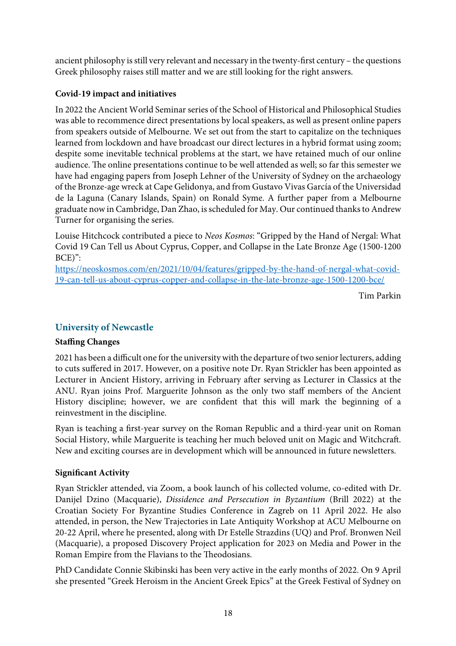ancient philosophy is still very relevant and necessary in the twenty-frst century – the questions Greek philosophy raises still matter and we are still looking for the right answers.

# **Covid-19 impact and initiatives**

In 2022 the Ancient World Seminar series of the School of Historical and Philosophical Studies was able to recommence direct presentations by local speakers, as well as present online papers from speakers outside of Melbourne. We set out from the start to capitalize on the techniques learned from lockdown and have broadcast our direct lectures in a hybrid format using zoom; despite some inevitable technical problems at the start, we have retained much of our online audience. The online presentations continue to be well attended as well; so far this semester we have had engaging papers from Joseph Lehner of the University of Sydney on the archaeology of the Bronze-age wreck at Cape Gelidonya, and from Gustavo Vivas García of the Universidad de la Laguna (Canary Islands, Spain) on Ronald Syme. A further paper from a Melbourne graduate now in Cambridge, Dan Zhao, is scheduled for May. Our continued thanks to Andrew Turner for organising the series.

Louise Hitchcock contributed a piece to *Neos Kosmos*: "Gripped by the Hand of Nergal: What Covid 19 Can Tell us About Cyprus, Copper, and Collapse in the Late Bronze Age (1500-1200 BCE)":

https://neoskosmos.com/en/2021/10/04/features/gripped-by-the-hand-of-nergal-what-covid-19-can-tell-us-about-cyprus-copper-and-collapse-in-the-late-bronze-age-1500-1200-bce/

Tim Parkin

# **University of Newcastle**

# **Staffing Changes**

2021 has been a difficult one for the university with the departure of two senior lecturers, adding to cuts suffered in 2017. However, on a positive note Dr. Ryan Strickler has been appointed as Lecturer in Ancient History, arriving in February after serving as Lecturer in Classics at the ANU. Ryan joins Prof. Marguerite Johnson as the only two staff members of the Ancient History discipline; however, we are confdent that this will mark the beginning of a reinvestment in the discipline.

Ryan is teaching a frst-year survey on the Roman Republic and a third-year unit on Roman Social History, while Marguerite is teaching her much beloved unit on Magic and Witchcraf. New and exciting courses are in development which will be announced in future newsletters.

# **Signifcant Activity**

Ryan Strickler attended, via Zoom, a book launch of his collected volume, co-edited with Dr. Danijel Dzino (Macquarie), *Dissidence and Persecution in Byzantium* (Brill 2022) at the Croatian Society For Byzantine Studies Conference in Zagreb on 11 April 2022. He also attended, in person, the New Trajectories in Late Antiquity Workshop at ACU Melbourne on 20-22 April, where he presented, along with Dr Estelle Strazdins (UQ) and Prof. Bronwen Neil (Macquarie), a proposed Discovery Project application for 2023 on Media and Power in the Roman Empire from the Flavians to the Theodosians.

PhD Candidate Connie Skibinski has been very active in the early months of 2022. On 9 April she presented "Greek Heroism in the Ancient Greek Epics" at the Greek Festival of Sydney on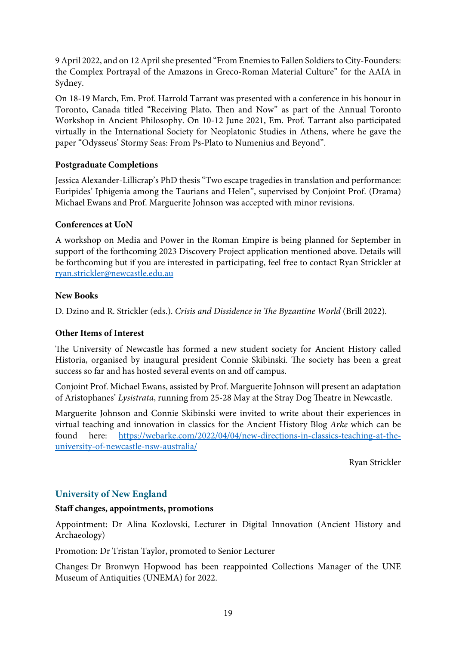9 April 2022, and on 12 April she presented "From Enemies to Fallen Soldiers to City-Founders: the Complex Portrayal of the Amazons in Greco-Roman Material Culture" for the AAIA in Sydney.

On 18-19 March, Em. Prof. Harrold Tarrant was presented with a conference in his honour in Toronto, Canada titled "Receiving Plato, Then and Now" as part of the Annual Toronto Workshop in Ancient Philosophy. On 10-12 June 2021, Em. Prof. Tarrant also participated virtually in the International Society for Neoplatonic Studies in Athens, where he gave the paper "Odysseus' Stormy Seas: From Ps-Plato to Numenius and Beyond".

# **Postgraduate Completions**

Jessica Alexander-Lillicrap's PhD thesis "Two escape tragedies in translation and performance: Euripides' Iphigenia among the Taurians and Helen", supervised by Conjoint Prof. (Drama) Michael Ewans and Prof. Marguerite Johnson was accepted with minor revisions.

## **Conferences at UoN**

A workshop on Media and Power in the Roman Empire is being planned for September in support of the forthcoming 2023 Discovery Project application mentioned above. Details will be forthcoming but if you are interested in participating, feel free to contact Ryan Strickler at ryan.strickler@newcastle.edu.au

#### **New Books**

D. Dzino and R. Strickler (eds.). *Crisis and Dissidence in The Byzantine World* (Brill 2022).

#### **Other Items of Interest**

The University of Newcastle has formed a new student society for Ancient History called Historia, organised by inaugural president Connie Skibinski. The society has been a great success so far and has hosted several events on and off campus.

Conjoint Prof. Michael Ewans, assisted by Prof. Marguerite Johnson will present an adaptation of Aristophanes' *Lysistrata*, running from 25-28 May at the Stray Dog Theatre in Newcastle.

Marguerite Johnson and Connie Skibinski were invited to write about their experiences in virtual teaching and innovation in classics for the Ancient History Blog *Arke* which can be found here: https://webarke.com/2022/04/04/new-directions-in-classics-teaching-at-theuniversity-of-newcastle-nsw-australia/

Ryan Strickler

# **University of New England**

#### **Staff changes, appointments, promotions**

Appointment: Dr Alina Kozlovski, Lecturer in Digital Innovation (Ancient History and Archaeology)

Promotion: Dr Tristan Taylor, promoted to Senior Lecturer

Changes: Dr Bronwyn Hopwood has been reappointed Collections Manager of the UNE Museum of Antiquities (UNEMA) for 2022.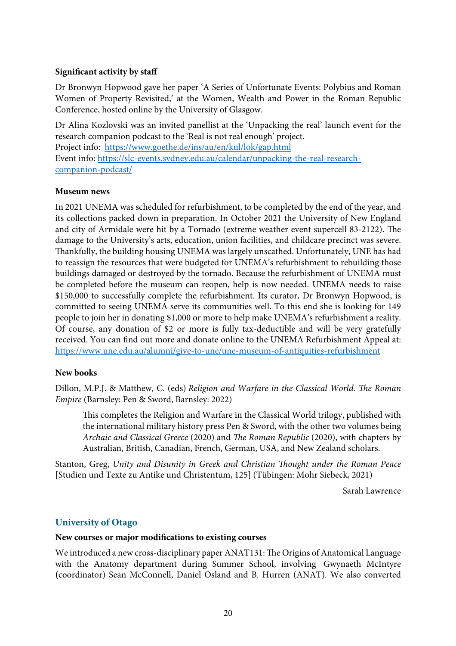## **Signifcant activity by staff**

Dr Bronwyn Hopwood gave her paper 'A Series of Unfortunate Events: Polybius and Roman Women of Property Revisited,' at the Women, Wealth and Power in the Roman Republic Conference, hosted online by the University of Glasgow.

Dr Alina Kozlovski was an invited panellist at the 'Unpacking the real' launch event for the research companion podcast to the 'Real is not real enough' project. Project info: https://www.goethe.de/ins/au/en/kul/lok/gap.html Event info: https://slc-events.sydney.edu.au/calendar/unpacking-the-real-researchcompanion-podcast/

## **Museum news**

In 2021 UNEMA was scheduled for refurbishment, to be completed by the end of the year, and its collections packed down in preparation. In October 2021 the University of New England and city of Armidale were hit by a Tornado (extreme weather event supercell 83-2122). The damage to the University's arts, education, union facilities, and childcare precinct was severe. Tankfully, the building housing UNEMA was largely unscathed. Unfortunately, UNE has had to reassign the resources that were budgeted for UNEMA's refurbishment to rebuilding those buildings damaged or destroyed by the tornado. Because the refurbishment of UNEMA must be completed before the museum can reopen, help is now needed. UNEMA needs to raise \$150,000 to successfully complete the refurbishment. Its curator, Dr Bronwyn Hopwood, is committed to seeing UNEMA serve its communities well. To this end she is looking for 149 people to join her in donating \$1,000 or more to help make UNEMA's refurbishment a reality. Of course, any donation of \$2 or more is fully tax-deductible and will be very gratefully received. You can fnd out more and donate online to the UNEMA Refurbishment Appeal at: https://www.une.edu.au/alumni/give-to-une/une-museum-of-antiquities-refurbishment

#### **New books**

Dillon, M.P.J. & Matthew, C. (eds) *Religion and Warfare in the Classical World. The Roman Empire* (Barnsley: Pen & Sword, Barnsley: 2022)

This completes the Religion and Warfare in the Classical World trilogy, published with the international military history press Pen & Sword, with the other two volumes being *Archaic and Classical Greece* (2020) and *The Roman Republic* (2020), with chapters by Australian, British, Canadian, French, German, USA, and New Zealand scholars.

Stanton, Greg, *Unity and Disunity in Greek and Christian* T*ought under the Roman Peace* [Studien und Texte zu Antike und Christentum, 125] (Tübingen: Mohr Siebeck, 2021)

Sarah Lawrence

# **University of Otago**

#### **New courses or major modifcations to existing courses**

We introduced a new cross-disciplinary paper ANAT131: The Origins of Anatomical Language with the Anatomy department during Summer School, involving Gwynaeth McIntyre **(**coordinator) Sean McConnell, Daniel Osland and B. Hurren (ANAT). We also converted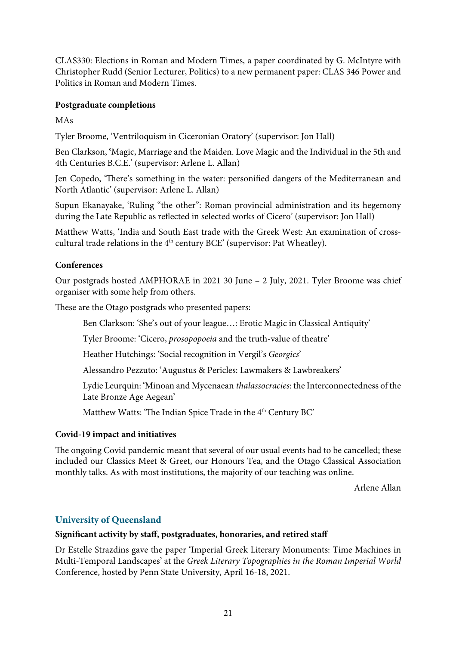CLAS330: Elections in Roman and Modern Times, a paper coordinated by G. McIntyre with Christopher Rudd (Senior Lecturer, Politics) to a new permanent paper: CLAS 346 Power and Politics in Roman and Modern Times.

# **Postgraduate completions**

MAs

Tyler Broome, 'Ventriloquism in Ciceronian Oratory' (supervisor: Jon Hall)

Ben Clarkson, **'**Magic, Marriage and the Maiden. Love Magic and the Individual in the 5th and 4th Centuries B.C.E.' (supervisor: Arlene L. Allan)

Jen Copedo, 'There's something in the water: personified dangers of the Mediterranean and North Atlantic' (supervisor: Arlene L. Allan)

Supun Ekanayake, 'Ruling "the other": Roman provincial administration and its hegemony during the Late Republic as refected in selected works of Cicero' (supervisor: Jon Hall)

Matthew Watts, 'India and South East trade with the Greek West: An examination of crosscultural trade relations in the  $4<sup>th</sup>$  century BCE' (supervisor: Pat Wheatley).

# **Conferences**

Our postgrads hosted AMPHORAE in 2021 30 June – 2 July, 2021. Tyler Broome was chief organiser with some help from others.

These are the Otago postgrads who presented papers:

Ben Clarkson: 'She's out of your league…: Erotic Magic in Classical Antiquity'

Tyler Broome: 'Cicero, *prosopopoeia* and the truth-value of theatre'

Heather Hutchings: 'Social recognition in Vergil's *Georgics*'

Alessandro Pezzuto: 'Augustus & Pericles: Lawmakers & Lawbreakers'

Lydie Leurquin: 'Minoan and Mycenaean *thalassocracies*: the Interconnectedness of the Late Bronze Age Aegean'

Matthew Watts: 'The Indian Spice Trade in the  $4<sup>th</sup>$  Century BC'

# **Covid-19 impact and initiatives**

The ongoing Covid pandemic meant that several of our usual events had to be cancelled; these included our Classics Meet & Greet, our Honours Tea, and the Otago Classical Association monthly talks. As with most institutions, the majority of our teaching was online.

Arlene Allan

# **University of Queensland**

# **Signifcant activity by staff, postgraduates, honoraries, and retired staff**

Dr Estelle Strazdins gave the paper 'Imperial Greek Literary Monuments: Time Machines in Multi-Temporal Landscapes' at the *Greek Literary Topographies in the Roman Imperial World*  Conference, hosted by Penn State University, April 16-18, 2021.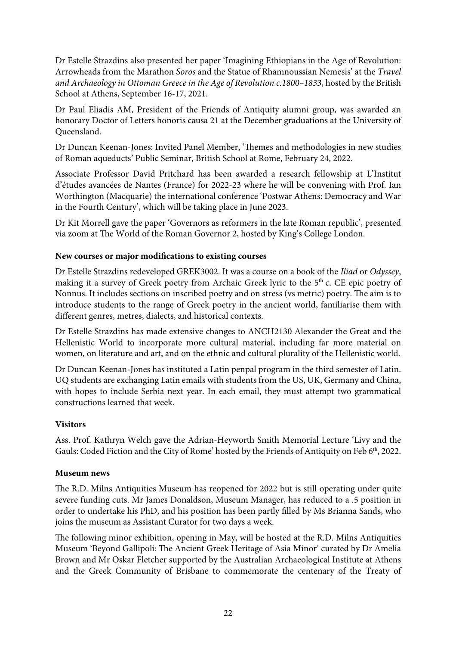Dr Estelle Strazdins also presented her paper 'Imagining Ethiopians in the Age of Revolution: Arrowheads from the Marathon *Soros* and the Statue of Rhamnoussian Nemesis' at the *Travel and Archaeology in Ottoman Greece in the Age of Revolution c.1800–1833*, hosted by the British School at Athens, September 16-17, 2021.

Dr Paul Eliadis AM, President of the Friends of Antiquity alumni group, was awarded an honorary Doctor of Letters honoris causa 21 at the December graduations at the University of Queensland.

Dr Duncan Keenan-Jones: Invited Panel Member, 'Themes and methodologies in new studies of Roman aqueducts' Public Seminar, British School at Rome, February 24, 2022.

Associate Professor David Pritchard has been awarded a research fellowship at L'Institut d'études avancées de Nantes (France) for 2022-23 where he will be convening with Prof. Ian Worthington (Macquarie) the international conference 'Postwar Athens: Democracy and War in the Fourth Century', which will be taking place in June 2023.

Dr Kit Morrell gave the paper 'Governors as reformers in the late Roman republic', presented via zoom at The World of the Roman Governor 2, hosted by King's College London.

# **New courses or major modifcations to existing courses**

Dr Estelle Strazdins redeveloped GREK3002. It was a course on a book of the *Iliad* or *Odyssey*, making it a survey of Greek poetry from Archaic Greek lyric to the 5<sup>th</sup> c. CE epic poetry of Nonnus. It includes sections on inscribed poetry and on stress (vs metric) poetry. The aim is to introduce students to the range of Greek poetry in the ancient world, familiarise them with different genres, metres, dialects, and historical contexts.

Dr Estelle Strazdins has made extensive changes to ANCH2130 Alexander the Great and the Hellenistic World to incorporate more cultural material, including far more material on women, on literature and art, and on the ethnic and cultural plurality of the Hellenistic world.

Dr Duncan Keenan-Jones has instituted a Latin penpal program in the third semester of Latin. UQ students are exchanging Latin emails with students from the US, UK, Germany and China, with hopes to include Serbia next year. In each email, they must attempt two grammatical constructions learned that week.

#### **Visitors**

Ass. Prof. Kathryn Welch gave the Adrian-Heyworth Smith Memorial Lecture 'Livy and the Gauls: Coded Fiction and the City of Rome' hosted by the Friends of Antiquity on Feb 6<sup>th</sup>, 2022.

#### **Museum news**

The R.D. Milns Antiquities Museum has reopened for 2022 but is still operating under quite severe funding cuts. Mr James Donaldson, Museum Manager, has reduced to a .5 position in order to undertake his PhD, and his position has been partly flled by Ms Brianna Sands, who joins the museum as Assistant Curator for two days a week.

The following minor exhibition, opening in May, will be hosted at the R.D. Milns Antiquities Museum 'Beyond Gallipoli: The Ancient Greek Heritage of Asia Minor' curated by Dr Amelia Brown and Mr Oskar Fletcher supported by the Australian Archaeological Institute at Athens and the Greek Community of Brisbane to commemorate the centenary of the Treaty of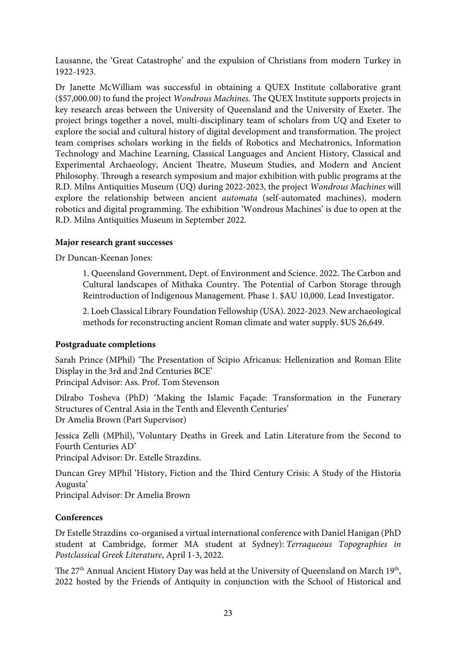Lausanne, the 'Great Catastrophe' and the expulsion of Christians from modern Turkey in 1922-1923.

Dr Janette McWilliam was successful in obtaining a QUEX Institute collaborative grant (\$57,000.00) to fund the project *Wondrous Machines*. The QUEX Institute supports projects in key research areas between the University of Queensland and the University of Exeter. The project brings together a novel, multi-disciplinary team of scholars from UQ and Exeter to explore the social and cultural history of digital development and transformation. The project team comprises scholars working in the felds of Robotics and Mechatronics, Information Technology and Machine Learning, Classical Languages and Ancient History, Classical and Experimental Archaeology, Ancient Theatre, Museum Studies, and Modern and Ancient Philosophy. Through a research symposium and major exhibition with public programs at the R.D. Milns Antiquities Museum (UQ) during 2022-2023, the project *Wondrous Machines* will explore the relationship between ancient *automata* (self-automated machines), modern robotics and digital programming. The exhibition 'Wondrous Machines' is due to open at the R.D. Milns Antiquities Museum in September 2022.

# **Major research grant successes**

Dr Duncan-Keenan Jones:

1. Queensland Government, Dept. of Environment and Science. 2022. The Carbon and Cultural landscapes of Mithaka Country. The Potential of Carbon Storage through Reintroduction of Indigenous Management. Phase 1. \$AU 10,000. Lead Investigator.

2. Loeb Classical Library Foundation Fellowship (USA). 2022-2023. New archaeological methods for reconstructing ancient Roman climate and water supply. \$US 26,649.

# **Postgraduate completions**

Sarah Prince (MPhil) 'The Presentation of Scipio Africanus: Hellenization and Roman Elite Display in the 3rd and 2nd Centuries BCE'

Principal Advisor: Ass. Prof. Tom Stevenson

Dilrabo Tosheva (PhD) 'Making the Islamic Façade: Transformation in the Funerary Structures of Central Asia in the Tenth and Eleventh Centuries' Dr Amelia Brown (Part Supervisor)

Jessica Zelli (MPhil), 'Voluntary Deaths in Greek and Latin Literature from the Second to Fourth Centuries AD'

Principal Advisor: Dr. Estelle Strazdins.

Duncan Grey MPhil 'History, Fiction and the Third Century Crisis: A Study of the Historia Augusta'

Principal Advisor: Dr Amelia Brown

# **Conferences**

Dr Estelle Strazdins co-organised a virtual international conference with Daniel Hanigan (PhD student at Cambridge, former MA student at Sydney): *Terraqueous Topographies in Postclassical Greek Literature*, April 1-3, 2022.

The 27<sup>th</sup> Annual Ancient History Day was held at the University of Queensland on March 19<sup>th</sup>, 2022 hosted by the Friends of Antiquity in conjunction with the School of Historical and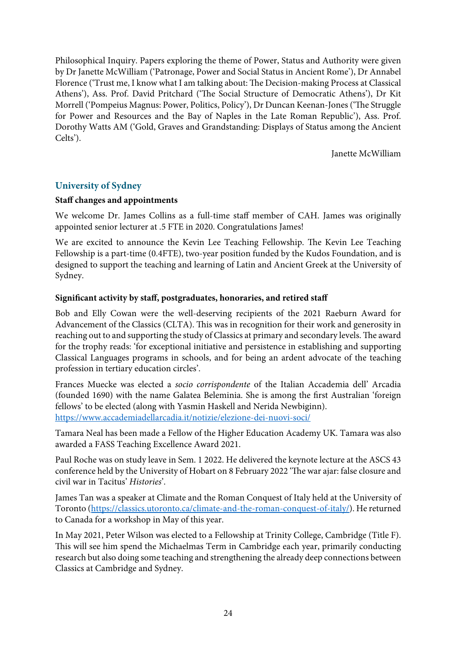Philosophical Inquiry. Papers exploring the theme of Power, Status and Authority were given by Dr Janette McWilliam ('Patronage, Power and Social Status in Ancient Rome'), Dr Annabel Florence ('Trust me, I know what I am talking about: The Decision-making Process at Classical Athens'), Ass. Prof. David Pritchard ('The Social Structure of Democratic Athens'), Dr Kit Morrell ('Pompeius Magnus: Power, Politics, Policy'), Dr Duncan Keenan-Jones ('The Struggle for Power and Resources and the Bay of Naples in the Late Roman Republic'), Ass. Prof. Dorothy Watts AM ('Gold, Graves and Grandstanding: Displays of Status among the Ancient Celts').

Janette McWilliam

# **University of Sydney**

## **Staff changes and appointments**

We welcome Dr. James Collins as a full-time staff member of CAH. James was originally appointed senior lecturer at .5 FTE in 2020. Congratulations James!

We are excited to announce the Kevin Lee Teaching Fellowship. The Kevin Lee Teaching Fellowship is a part-time (0.4FTE), two-year position funded by the Kudos Foundation, and is designed to support the teaching and learning of Latin and Ancient Greek at the University of Sydney.

# **Signifcant activity by staff, postgraduates, honoraries, and retired staff**

Bob and Elly Cowan were the well-deserving recipients of the 2021 Raeburn Award for Advancement of the Classics (CLTA). This was in recognition for their work and generosity in reaching out to and supporting the study of Classics at primary and secondary levels. The award for the trophy reads: 'for exceptional initiative and persistence in establishing and supporting Classical Languages programs in schools, and for being an ardent advocate of the teaching profession in tertiary education circles'.

Frances Muecke was elected a *socio corrispondente* of the Italian Accademia dell' Arcadia (founded 1690) with the name Galatea Beleminia. She is among the frst Australian 'foreign fellows' to be elected (along with Yasmin Haskell and Nerida Newbiginn). https://www.accademiadellarcadia.it/notizie/elezione-dei-nuovi-soci/

Tamara Neal has been made a Fellow of the Higher Education Academy UK. Tamara was also awarded a FASS Teaching Excellence Award 2021.

Paul Roche was on study leave in Sem. 1 2022. He delivered the keynote lecture at the ASCS 43 conference held by the University of Hobart on 8 February 2022 'The war ajar: false closure and civil war in Tacitus' *Histories*'.

James Tan was a speaker at Climate and the Roman Conquest of Italy held at the University of Toronto (https://classics.utoronto.ca/climate-and-the-roman-conquest-of-italy/). He returned to Canada for a workshop in May of this year.

In May 2021, Peter Wilson was elected to a Fellowship at Trinity College, Cambridge (Title F). This will see him spend the Michaelmas Term in Cambridge each year, primarily conducting research but also doing some teaching and strengthening the already deep connections between Classics at Cambridge and Sydney.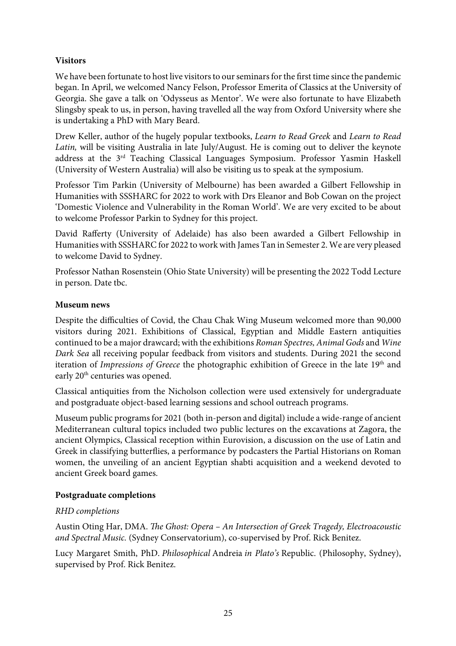# **Visitors**

We have been fortunate to host live visitors to our seminars for the frst time since the pandemic began. In April, we welcomed Nancy Felson, Professor Emerita of Classics at the University of Georgia. She gave a talk on 'Odysseus as Mentor'. We were also fortunate to have Elizabeth Slingsby speak to us, in person, having travelled all the way from Oxford University where she is undertaking a PhD with Mary Beard.

Drew Keller, author of the hugely popular textbooks, *Learn to Read Greek* and *Learn to Read Latin,* will be visiting Australia in late July/August. He is coming out to deliver the keynote address at the 3rd Teaching Classical Languages Symposium. Professor Yasmin Haskell (University of Western Australia) will also be visiting us to speak at the symposium.

Professor Tim Parkin (University of Melbourne) has been awarded a Gilbert Fellowship in Humanities with SSSHARC for 2022 to work with Drs Eleanor and Bob Cowan on the project 'Domestic Violence and Vulnerability in the Roman World'. We are very excited to be about to welcome Professor Parkin to Sydney for this project.

David Rafferty (University of Adelaide) has also been awarded a Gilbert Fellowship in Humanities with SSSHARC for 2022 to work with James Tan in Semester 2. We are very pleased to welcome David to Sydney.

Professor Nathan Rosenstein (Ohio State University) will be presenting the 2022 Todd Lecture in person. Date tbc.

# **Museum news**

Despite the difficulties of Covid, the Chau Chak Wing Museum welcomed more than 90,000 visitors during 2021. Exhibitions of Classical, Egyptian and Middle Eastern antiquities continued to be a major drawcard; with the exhibitions *Roman Spectres, Animal Gods* and *Wine Dark Sea* all receiving popular feedback from visitors and students. During 2021 the second iteration of *Impressions of Greece* the photographic exhibition of Greece in the late 19<sup>th</sup> and early 20<sup>th</sup> centuries was opened.

Classical antiquities from the Nicholson collection were used extensively for undergraduate and postgraduate object-based learning sessions and school outreach programs.

Museum public programs for 2021 (both in-person and digital) include a wide-range of ancient Mediterranean cultural topics included two public lectures on the excavations at Zagora, the ancient Olympics, Classical reception within Eurovision, a discussion on the use of Latin and Greek in classifying butterfies, a performance by podcasters the Partial Historians on Roman women, the unveiling of an ancient Egyptian shabti acquisition and a weekend devoted to ancient Greek board games.

# **Postgraduate completions**

# *RHD completions*

Austin Oting Har, DMA. T*e Ghost: Opera – An Intersection of Greek Tragedy, Electroacoustic and Spectral Music.* (Sydney Conservatorium), co-supervised by Prof. Rick Benitez.

Lucy Margaret Smith, PhD. *Philosophical* Andreia *in Plato's* Republic. (Philosophy, Sydney), supervised by Prof. Rick Benitez.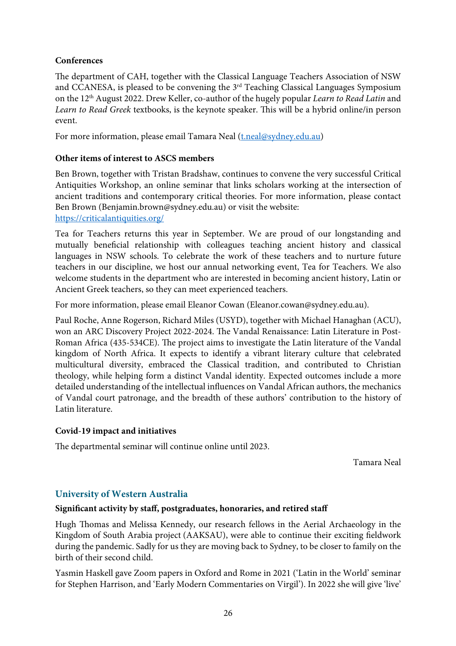# **Conferences**

The department of CAH, together with the Classical Language Teachers Association of NSW and CCANESA, is pleased to be convening the 3rd Teaching Classical Languages Symposium on the 12th August 2022. Drew Keller, co-author of the hugely popular *Learn to Read Latin* and Learn to Read Greek textbooks, is the keynote speaker. This will be a hybrid online/in person event.

For more information, please email Tamara Neal (*t.neal@sydney.edu.au*)

## **Other items of interest to ASCS members**

Ben Brown, together with Tristan Bradshaw, continues to convene the very successful Critical Antiquities Workshop, an online seminar that links scholars working at the intersection of ancient traditions and contemporary critical theories. For more information, please contact Ben Brown (Benjamin.brown@sydney.edu.au) or visit the website: https://criticalantiquities.org/

Tea for Teachers returns this year in September. We are proud of our longstanding and mutually benefcial relationship with colleagues teaching ancient history and classical languages in NSW schools. To celebrate the work of these teachers and to nurture future teachers in our discipline, we host our annual networking event, Tea for Teachers. We also welcome students in the department who are interested in becoming ancient history, Latin or Ancient Greek teachers, so they can meet experienced teachers.

For more information, please email Eleanor Cowan (Eleanor.cowan@sydney.edu.au).

Paul Roche, Anne Rogerson, Richard Miles (USYD), together with Michael Hanaghan (ACU), won an ARC Discovery Project 2022-2024. The Vandal Renaissance: Latin Literature in Post-Roman Africa (435-534CE). The project aims to investigate the Latin literature of the Vandal kingdom of North Africa. It expects to identify a vibrant literary culture that celebrated multicultural diversity, embraced the Classical tradition, and contributed to Christian theology, while helping form a distinct Vandal identity. Expected outcomes include a more detailed understanding of the intellectual infuences on Vandal African authors, the mechanics of Vandal court patronage, and the breadth of these authors' contribution to the history of Latin literature.

#### **Covid-19 impact and initiatives**

The departmental seminar will continue online until 2023.

Tamara Neal

# **University of Western Australia**

#### **Signifcant activity by staff, postgraduates, honoraries, and retired staff**

Hugh Thomas and Melissa Kennedy, our research fellows in the Aerial Archaeology in the Kingdom of South Arabia project (AAKSAU), were able to continue their exciting feldwork during the pandemic. Sadly for us they are moving back to Sydney, to be closer to family on the birth of their second child.

Yasmin Haskell gave Zoom papers in Oxford and Rome in 2021 ('Latin in the World' seminar for Stephen Harrison, and 'Early Modern Commentaries on Virgil'). In 2022 she will give 'live'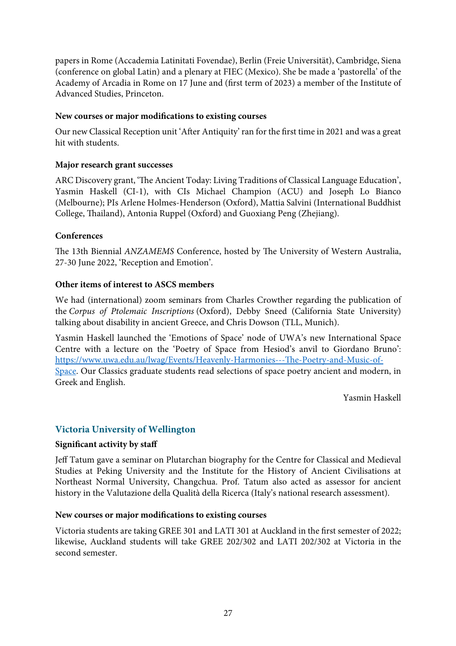papers in Rome (Accademia Latinitati Fovendae), Berlin (Freie Universität), Cambridge, Siena (conference on global Latin) and a plenary at FIEC (Mexico). She be made a 'pastorella' of the Academy of Arcadia in Rome on 17 June and (frst term of 2023) a member of the Institute of Advanced Studies, Princeton.

## **New courses or major modifcations to existing courses**

Our new Classical Reception unit 'Afer Antiquity' ran for the frst time in 2021 and was a great hit with students.

## **Major research grant successes**

ARC Discovery grant, 'The Ancient Today: Living Traditions of Classical Language Education', Yasmin Haskell (CI-1), with CIs Michael Champion (ACU) and Joseph Lo Bianco (Melbourne); PIs Arlene Holmes-Henderson (Oxford), Mattia Salvini (International Buddhist College, Tailand), Antonia Ruppel (Oxford) and Guoxiang Peng (Zhejiang).

## **Conferences**

The 13th Biennial *ANZAMEMS* Conference, hosted by The University of Western Australia, 27-30 June 2022, 'Reception and Emotion'.

## **Other items of interest to ASCS members**

We had (international) zoom seminars from Charles Crowther regarding the publication of the *Corpus of Ptolemaic Inscriptions* (Oxford), Debby Sneed (California State University) talking about disability in ancient Greece, and Chris Dowson (TLL, Munich).

Yasmin Haskell launched the 'Emotions of Space' node of UWA's new International Space Centre with a lecture on the 'Poetry of Space from Hesiod's anvil to Giordano Bruno': https://www.uwa.edu.au/lwag/Events/Heavenly-Harmonies---The-Poetry-and-Music-of-Space. Our Classics graduate students read selections of space poetry ancient and modern, in Greek and English.

Yasmin Haskell

# **Victoria University of Wellington**

#### **Signifcant activity by staff**

Jeff Tatum gave a seminar on Plutarchan biography for the Centre for Classical and Medieval Studies at Peking University and the Institute for the History of Ancient Civilisations at Northeast Normal University, Changchua. Prof. Tatum also acted as assessor for ancient history in the Valutazione della Qualità della Ricerca (Italy's national research assessment).

#### **New courses or major modifcations to existing courses**

Victoria students are taking GREE 301 and LATI 301 at Auckland in the frst semester of 2022; likewise, Auckland students will take GREE 202/302 and LATI 202/302 at Victoria in the second semester.